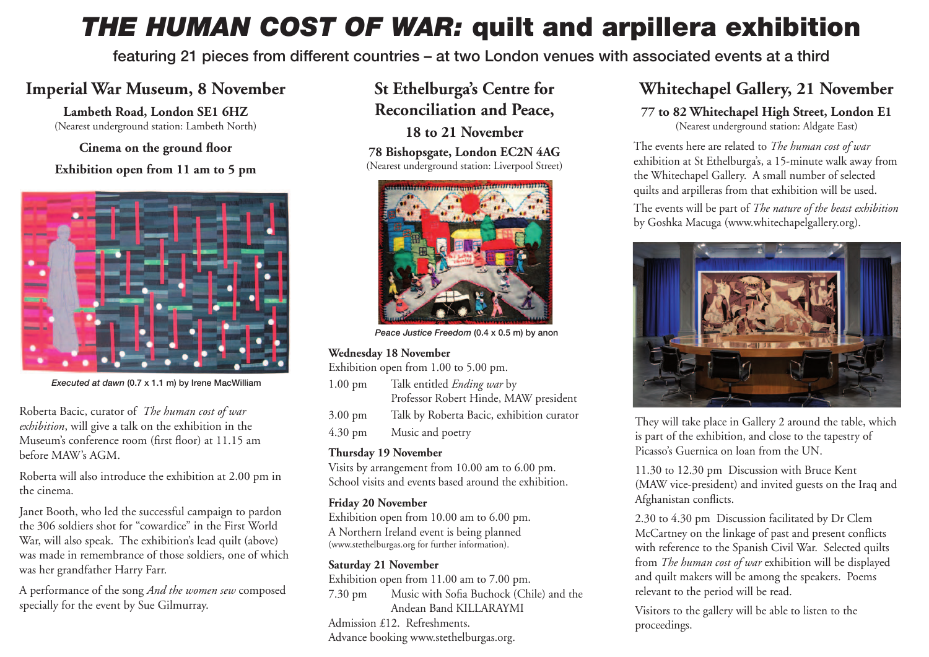# *THE HUMAN COST OF WAR:* **quilt and arpillera exhibition**

**featuring 21 pieces from different countries – at two London venues with associated events at a third**

## **Imperial War Museum, 8 November**

**Lambeth Road, London SE1 6HZ**  (Nearest underground station: Lambeth North)

**Cinema on the ground floor** 

**Exhibition open from 11 am to 5 pm**



*Executed at dawn* **(0.7 x 1.1 m) by Irene MacWilliam**

Roberta Bacic, curator of *The human cost of war exhibition*, will give a talk on the exhibition in the Museum's conference room (first floor) at 11.15 am before MAW's AGM.

Roberta will also introduce the exhibition at 2.00 pm in the cinema.

Janet Booth, who led the successful campaign to pardon the 306 soldiers shot for "cowardice" in the First World War, will also speak. The exhibition's lead quilt (above) was made in remembrance of those soldiers, one of which was her grandfather Harry Farr.

A performance of the song *And the women sew* composed specially for the event by Sue Gilmurray.

## **St Ethelburga's Centre for Reconciliation and Peace, 18 to 21 November**

#### **78 Bishopsgate, London EC2N 4AG** (Nearest underground station: Liverpool Street)



*Peace Justice Freedom* **(0.4 x 0.5 m) by anon**

### **Wednesday 18 November**

Exhibition open from 1.00 to 5.00 pm.

- 1.00 pm Talk entitled *Ending war* by Professor Robert Hinde, MAW president 3.00 pm Talk by Roberta Bacic, exhibition curator
- 4.30 pm Music and poetry

### **Thursday 19 November**

Visits by arrangement from 10.00 am to 6.00 pm. School visits and events based around the exhibition.

### **Friday 20 November**

Exhibition open from 10.00 am to 6.00 pm. A Northern Ireland event is being planned (www.stethelburgas.org for further information).

### **Saturday 21 November**

Exhibition open from 11.00 am to 7.00 pm. 7.30 pm Music with Sofia Buchock (Chile) and the Andean Band KILLARAYMI Admission £12. Refreshments. Advance booking www.stethelburgas.org.

## **Whitechapel Gallery, 21 November**

### **77 to 82 Whitechapel High Street, London E1**

(Nearest underground station: Aldgate East)

The events here are related to *The human cost of war*  exhibition at St Ethelburga's, a 15-minute walk away from the Whitechapel Gallery. A small number of selected quilts and arpilleras from that exhibition will be used. The events will be part of *The nature of the beast exhibition* by Goshka Macuga (www.whitechapelgallery.org).



They will take place in Gallery 2 around the table, which is part of the exhibition, and close to the tapestry of Picasso's Guernica on loan from the UN.

11.30 to 12.30 pm Discussion with Bruce Kent (MAW vice-president) and invited guests on the Iraq and Afghanistan conflicts.

2.30 to 4.30 pm Discussion facilitated by Dr Clem McCartney on the linkage of past and present conflicts with reference to the Spanish Civil War. Selected quilts from *The human cost of war* exhibition will be displayed and quilt makers will be among the speakers. Poems relevant to the period will be read.

Visitors to the gallery will be able to listen to the proceedings.